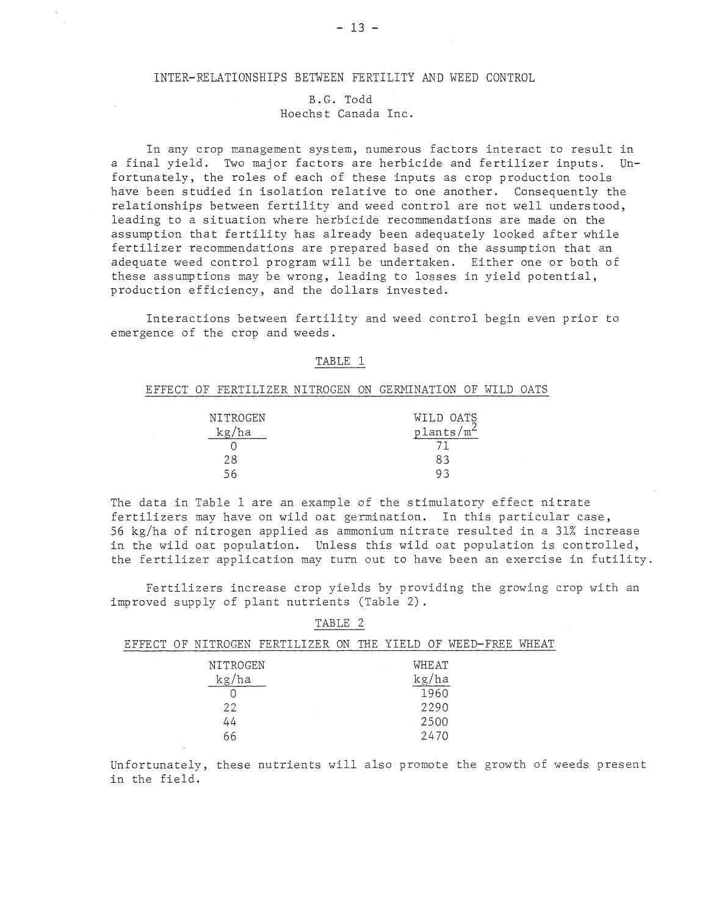# INTER-RELATIONSHIPS BETWEEN FERTILITY AND WEED CONTROL

# B.G. Todd Hoechst Canada Inc.

In any crop management system, numerous factors interact to result in *a* final yield. Two major factors are herbicide and fertilizer inputs. Unfortunately, the roles of each of these inputs as crop production tools have been studied in isolation relative to one another. Consequently the relationships between fertility and weed control are not well understood, leading to *a* situation where herbicide recommendations are made on the assumption that fertility has already been adequately looked after while fertilizer recommendations are prepared based on the assumption that an adequate weed control program will be undertaken. Either one or both of these assumptions may be wrong, leading to losses in yield potential, production efficiency, and the dollars invested.

Interactions between fertility and weed control begin even prior to emergence of the crop and weeds.

### TABLE 1

### EFFECT OF FERTILIZER NITROGEN ON GERMINATION OF WILD OATS

| NITROGEN | WILD OATS                |
|----------|--------------------------|
| kg/ha    | $p$ lants/m <sup>2</sup> |
|          |                          |
| 28       | 83                       |
| 56       |                          |

The data in Table 1 are an example of the stimulatory effect nitrate fertilizers may have on wild oat germination. In this particular case, 56 kg/ha of nitrogen applied as ammonium nitrate resulted in a 31% increase in the wild oat population. Unless this wild oat population is controlled, the fertilizer application may turn out to have been an exercise in futility.

Fertilizers increase crop yields by providing the growing crop with an improved supply of plant nutrients (Table 2) .

| E FFE CT | ∩F− |                                    | NITROGEN FERTILIZER | ON | THE. | YTELD. |                                            | OF WEED-FREE | WHEAT |
|----------|-----|------------------------------------|---------------------|----|------|--------|--------------------------------------------|--------------|-------|
|          |     | NITROGEN<br>'ha<br>kg/<br>22<br>44 |                     |    |      |        | WHEAT<br>ha<br>kg/<br>1960<br>2290<br>2500 |              |       |
|          |     | 66                                 |                     |    |      |        | 2470                                       |              |       |

TABLE 2

Unfortunately, these nutrients will also promote the growth of weeds present in the field.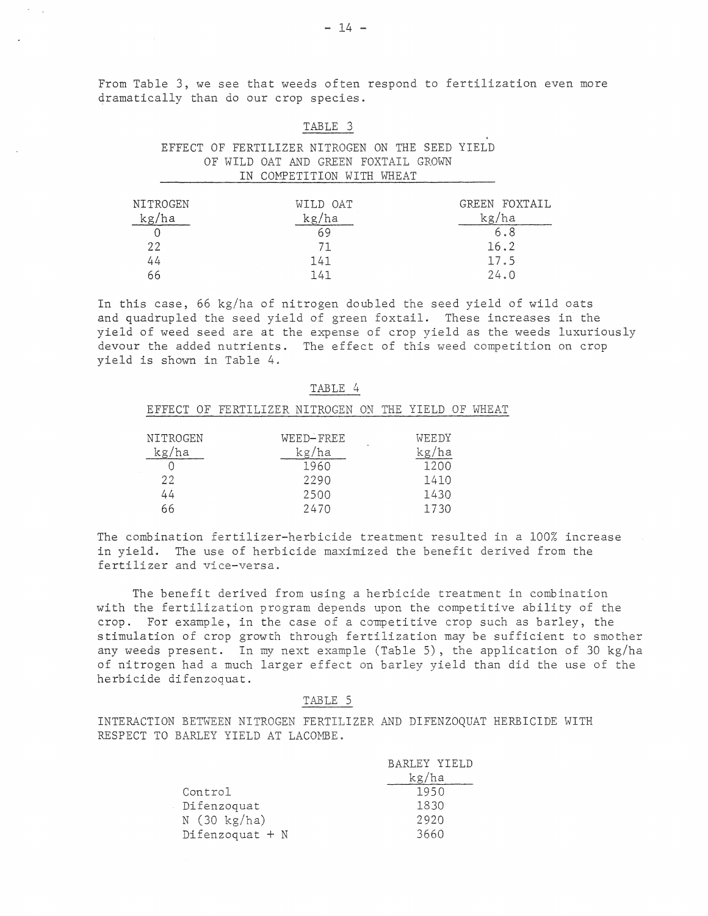From Table 3, we see that weeds often respond to fertilization even more dramatically than do our crop species.

#### TABLE 3

# EFFECT OF FERTILIZER NITROGEN ON THE SEED YIELD OF WILD OAT AND GREEN FOXTAIL GROWN IN COMPETITION WITH WHEAT

| NITROGEN | WILD OAT | GREEN FOXTAIL |
|----------|----------|---------------|
| kg/ha    | kg/ha    | kg/ha         |
|          | 69       | 6.8           |
| 22       | 71       | 16.2          |
| 44       | 141      | 17.5          |
| 66       | 141      | 24.0          |

In this case, 66 kg/ha of nitrogen doubled the seed yield of wild oats and quadrupled the seed yield of green foxtail. These increases in the yield of weed seed are at the expense of crop yield as the weeds luxuriously devour the added nutrients. The effect of this weed competition on crop yield is shown in Table 4.

### TABLE 4

|            |  | EFFECT OF FERTILIZER NITROGEN ON THE YIELD OF WHEAT |                |  |       |  |  |
|------------|--|-----------------------------------------------------|----------------|--|-------|--|--|
|            |  |                                                     |                |  |       |  |  |
| NITROGEN   |  |                                                     | WEED-FREE      |  | WEEDY |  |  |
| kg/ha      |  |                                                     | kg/ha<br>kg/ha |  |       |  |  |
| 1960       |  | 1200                                                |                |  |       |  |  |
| つつ<br>2290 |  | 1410                                                |                |  |       |  |  |

2500 2470

44 66

The combination fertilizer-herbicide treatment resulted in a 100% increase in yield. The use of herbicide maximized the benefit derived from the fertilizer and vice-versa.

1430 1730

The benefit derived from using a herbicide treatment in combination with the fertilization program depends upon the competitive ability of the crop. For example, in the case of a competitive crop such as barley, the stimulation of crop growth through fertilization may be sufficient to smother any weeds present. In my next example (Table 5), the application of 30 kg/ha of nitrogen had a much larger effect on barley yield than did the use of the herbicide difenzoquat.

#### TABLE 5

INTERACTION BETWEEN NITROGEN FERTILIZER AND DIFENZOQUAT HERBICIDE WITH RESPECT TO BARLEY YIELD AT LACOMBE.

|                       | BARLEY YIELD |
|-----------------------|--------------|
|                       | kg/ha        |
| Control               | 1950         |
| Difenzoquat           | 1830         |
| $N(30 \text{ kg/ha})$ | 2920         |
| Difenzoquat + N       | 3660         |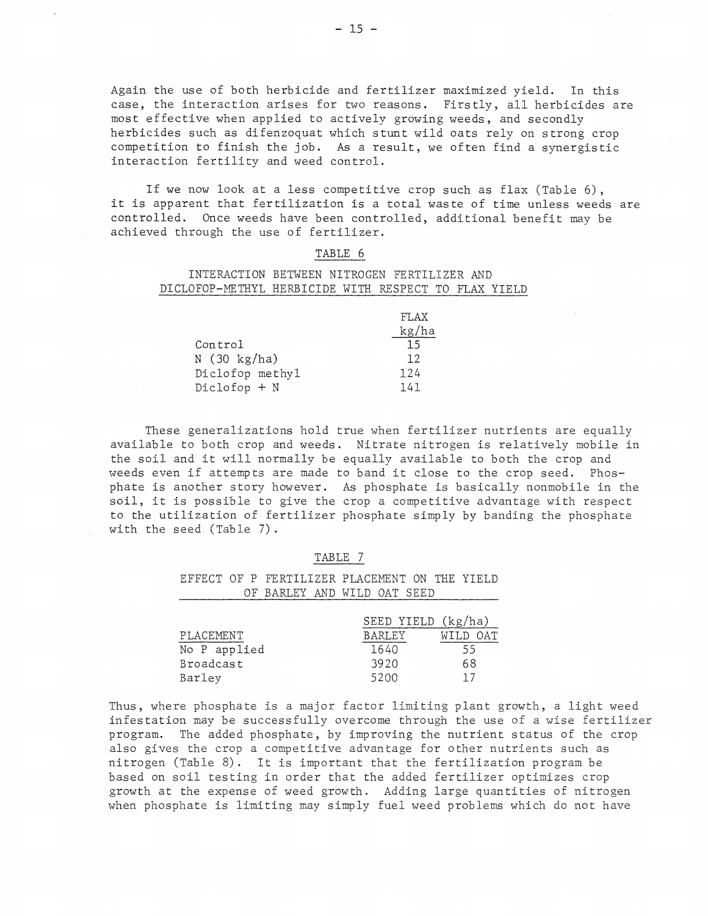Again the use of both herbicide and fertilizer maximized yield. In this case, the interaction arises for two reasons. Firstly, all herbicides are most effective when applied to actively growing weeds, and secondly herbicides such as difenzoquat which stunt wild oats rely on strong crop competition to finish the job. As a result, we often find a synergistic interaction fertility and weed control.

If we now look at a less competitive crop such as flax (Table 6), it is apparent that fertilization is a total waste of time unless weeds are controlled. Once weeds have been controlled, additional benefit may be achieved through the use of fertilizer.

#### TABLE 6

### INTERACTION BETWEEN NITROGEN FERTILIZER AND DICLOFOP-METHYL HERBICIDE WITH RESPECT TO FLAX YIELD

|                       | FLAX <sup>T</sup> |
|-----------------------|-------------------|
|                       | kg/ha             |
| Control               | 15 <sup>7</sup>   |
| $N(30 \text{ kg/ha})$ | 12                |
| Diclofop methyl       | 124               |
| $Diclofop + N$        | 141               |

These generalizations hold true when fertilizer nutrients are equally available to both crop and weeds. Nitrate nitrogen is relatively mobile in the soil and it will normally be equally available to both the crop and weeds even if attempts are made to band it close to the crop seed. Phosphate is another story however. As phosphate is basically nonmobile in the soil, it is possible to give the crop a competitive advantage with respect to the utilization of fertilizer phosphate simply by banding the phosphate with the seed (Table 7).

#### TABLE 7

EFFECT OF P FERTILIZER PLACEMENT ON THE YIELD OF BARLEY AND WILD OAT SEED

|              | SEED YIELD (kg/ha) |          |
|--------------|--------------------|----------|
| PLACEMENT    | <b>BARLEY</b>      | WILD OAT |
| No P applied | 1640               | 55       |
| Broadcast    | 3920               | 68       |
| Barley       | 5200               |          |

Thus, where phosphate is a major factor limiting plant growth, a light weed infestation may be successfully overcome through the use of a wise fertilizer program. The added phosphate, by improving the nutrient status of the crop also gives the crop a competitive advantage for other nutrients such as nitrogen (Table 8). It is important that the fertilization program be based on soil testing in order that the added fertilizer optimizes crop growth at the expense of weed growth. Adding large quantities of nitrogen when phosphate is limiting may simply fuel weed problews which do not have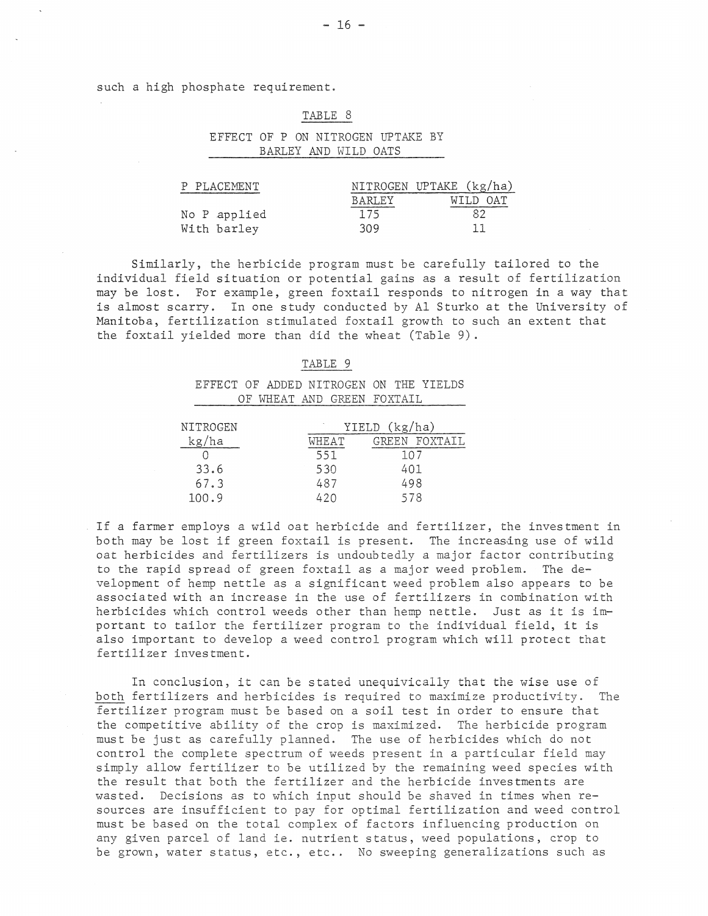such a high phosphate requirement.

#### TABLE 8

## EFFECT OF P ON NITROGEN UPTAKE BY BARLEY AND WILD OATS

| P PLACEMENT  |        | NITROGEN UPTAKE (kg/ha) |
|--------------|--------|-------------------------|
|              | BARLEY | WILD OAT                |
| No P applied | 175    |                         |
| With barley  | 309    |                         |

Similarly, the herbicide program must be carefully tailored to the individual field situation or potential gains as a result of fertilization may be lost. For example, green foxtail responds to nitrogen in a way that is almost scarry. In one study conducted by Al Sturko at the University of Manitoba, fertilization stimulated foxtail growth to such an extent that the foxtail yielded more than did the wheat (Table 9) .

#### TABLE 9

EFFECT OF ADDED NITROGEN ON THE YIELDS OF WHEAT AND GREEN FOXTAIL

| NITROGEN |       | YIELD (kg/ha) |
|----------|-------|---------------|
| kg/ha    | WHEAT | GREEN FOXTATI |
|          | 551   | 107           |
| 33.6     | 530   | 401           |
| 67.3     | 487   | 498           |
| 100.9    | 420   | 578           |

If a farmer employs a wild oat herbicide and fertilizer, the investment in both may be lost if green foxtail is present. The increasing use of wild oat herbicides and fertilizers is undoubtedly a major factor contributing to the rapid spread of green foxtail as a major weed problem. The development of hemp nettle as a significant weed problem also appears to be associated with an increase in the use of fertilizers in combination with herbicides which control weeds other than hemp nettle. Just as it is important to tailor the fertilizer program to the individual field, it is also important to develop a weed control program which will protect that fertilizer investment.

In conclusion, it can be stated unequivically that the wise use of both fertilizers and herbicides is required to maximize productivity. The fertilizer program must be based on a soil test in order to ensure that the competitive ability of the crop is maximized. The herbicide program must be just as carefully planned. The use of herbicides which do not control the complete spectrum of weeds present in a particular field may simply allow fertilizer to be utilized by the remaining weed species with the result that both the fertilizer and the herbicide investments are wasted. Decisions as to which input should be shaved in times when resources are insufficient to pay for optimal fertilization and weed control must be based on the total complex of factors influencing production on any given parcel of land ie. nutrient status, weed populations, crop to be grown, water status, etc., etc.. No sweeping generalizations such as